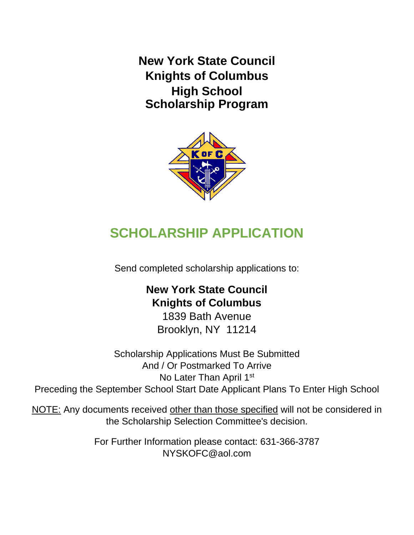**New York State Council Knights of Columbus High School Scholarship Program**



# **SCHOLARSHIP APPLICATION**

Send completed scholarship applications to:

## **New York State Council Knights of Columbus**

1839 Bath Avenue Brooklyn, NY 11214

Scholarship Applications Must Be Submitted And / Or Postmarked To Arrive No Later Than April 1<sup>st</sup> Preceding the September School Start Date Applicant Plans To Enter High School

NOTE: Any documents received other than those specified will not be considered in the Scholarship Selection Committee's decision.

> For Further Information please contact: 631-366-3787 NYSKOFC@aol.com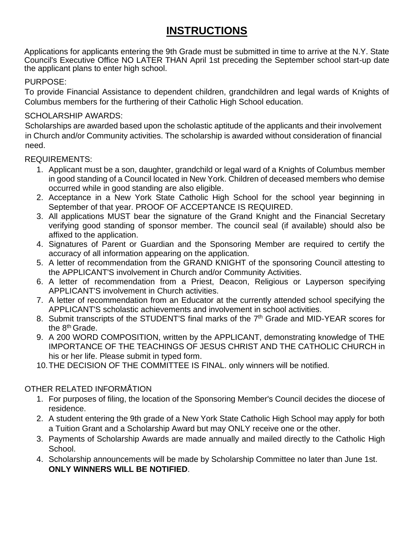### **INSTRUCTIONS**

Applications for applicants entering the 9th Grade must be submitted in time to arrive at the N.Y. State Council's Executive Office NO LATER THAN April 1st preceding the September school start-up date the applicant plans to enter high school.

#### PURPOSE:

To provide Financial Assistance to dependent children, grandchildren and legal wards of Knights of Columbus members for the furthering of their Catholic High School education.

#### SCHOLARSHIP AWARDS:

Scholarships are awarded based upon the scholastic aptitude of the applicants and their involvement in Church and/or Community activities. The scholarship is awarded without consideration of financial need.

#### REQUIREMENTS:

- 1. Applicant must be a son, daughter, grandchild or legal ward of a Knights of Columbus member in good standing of a Council located in New York. Children of deceased members who demise occurred while in good standing are also eligible.
- 2. Acceptance in a New York State Catholic High School for the school year beginning in September of that year. PROOF OF ACCEPTANCE IS REQUIRED.
- 3. All applications MUST bear the signature of the Grand Knight and the Financial Secretary verifying good standing of sponsor member. The council seal (if available) should also be affixed to the application.
- 4. Signatures of Parent or Guardian and the Sponsoring Member are required to certify the accuracy of all information appearing on the application.
- 5. A letter of recommendation from the GRAND KNIGHT of the sponsoring Council attesting to the APPLICANT'S involvement in Church and/or Community Activities.
- 6. A letter of recommendation from a Priest, Deacon, Religious or Layperson specifying APPLICANT'S involvement in Church activities.
- 7. A letter of recommendation from an Educator at the currently attended school specifying the APPLICANT'S scholastic achievements and involvement in school activities.
- 8. Submit transcripts of the STUDENT'S final marks of the 7<sup>th</sup> Grade and MID-YEAR scores for the 8th Grade.
- 9. A 200 WORD COMPOSITION, written by the APPLICANT, demonstrating knowledge of THE IMPORTANCE OF THE TEACHINGS OF JESUS CHRIST AND THE CATHOLIC CHURCH in his or her life. Please submit in typed form.
- 10.THE DECISION OF THE COMMITTEE IS FINAL. only winners will be notified.

#### OTHER RELATED INFORMÅTION

- 1. For purposes of filing, the location of the Sponsoring Member's Council decides the diocese of residence.
- 2. A student entering the 9th grade of a New York State Catholic High School may apply for both a Tuition Grant and a Scholarship Award but may ONLY receive one or the other.
- 3. Payments of Scholarship Awards are made annually and mailed directly to the Catholic High School.
- 4. Scholarship announcements will be made by Scholarship Committee no later than June 1st. **ONLY WINNERS WILL BE NOTIFIED**.